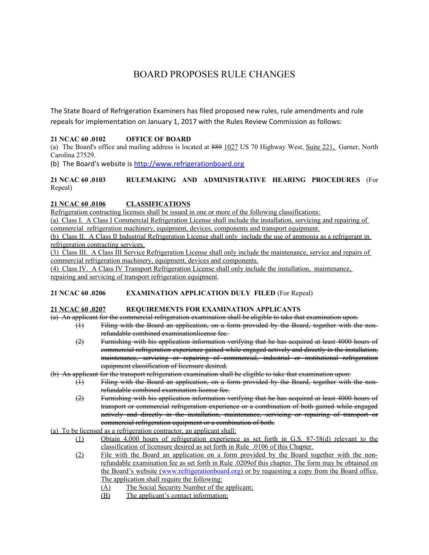# BOARD PROPOSES RULE CHANGES

The State Board of Refrigeration Examiners has filed proposed new rules, rule amendments and rule repeals for implementation on January 1, 2017 with the Rules Review Commission as follows:

## **21 NCAC 60 .0102 OFFICE OF BOARD**

(a) The Board's office and mailing address is located at 889 1027 US 70 Highway West, Suite 221, Garner, North Carolina 27529.

(b) The Board's website is [http://www.refrigerationboard.org](http://www.refrigerationboard.org/)

**21 NCAC 60 .0103 RULEMAKING AND ADMINISTRATIVE HEARING PROCEDURES** (For Repeal)

#### **21 NCAC 60 .0106 CLASSIFICATIONS**

Refrigeration contracting licenses shall be issued in one or more of the following classifications:

(a) Class I. A Class I Commercial Refrigeration License shall include the installation, servicing and repairing of commercial refrigeration machinery, equipment, devices, components and transport equipment.

(b) Class II. A Class II Industrial Refrigeration License shall only include the use of ammonia as a refrigerant in refrigeration contracting services.

(3) Class III. A Class III Service Refrigeration License shall only include the maintenance, service and repairs of commercial refrigeration machinery, equipment, devices and components.

(4) Class IV. A Class IV Transport Refrigeration License shall only include the installation, maintenance, repairing and servicing of transport refrigeration equipment.

#### **21 NCAC 60 .0206 EXAMINATION APPLICATION DULY FILED** (For Repeal)

#### **21 NCAC 60 .0207 REQUIREMENTS FOR EXAMINATION APPLICANTS**

(a) An applicant for the commercial refrigeration examination shall be eligible to take that examination upon.

- (1) Filing with the Board an application, on a form provided by the Board, together with the nonrefundable combined examinationlicense fee.
	- (2) Furnishing with his application information verifying that he has acquired at least 4000 hours of commercial refrigeration experience gained while engaged actively and directly in the installation, maintenance, servicing or repairing of commercial, industrial or institutional refrigeration equipment classification of licensure desired.

(b) An applicant for the transport refrigeration examination shall be eligible to take that examination upon:

- (1) Filing with the Board an application, on a form provided by the Board, together with the nonrefundable combined examination license fee.
- (2) Furnishing with his application information verifying that he has acquired at least 4000 hours of transport or commercial refrigeration experience or a combination of both gained while engaged actively and directly in the installation, maintenance, servicing or repairing of transport or commercial refrigeration equipment or a combination of both.

(a) To be licensed as a refrigeration contractor, an applicant shall:

- (1) Obtain 4,000 hours of refrigeration experience as set forth in G.S. 87-58(d) relevant to the classification of licensure desired as set forth in Rule .0106 of this Chapter.
- (2) File with the Board an application on a form provided by the Board together with the nonrefundable examination fee as set forth in Rule .0209of this chapter. The form may be obtained on the Board's website [\( www.refrigerationboard.org\)](http://www.refrigerationboard.org/) or by requesting a copy from the Board office. The application shall require the following:
	- (A) The Social Security Number of the applicant;
	- (B) The applicant's contact information;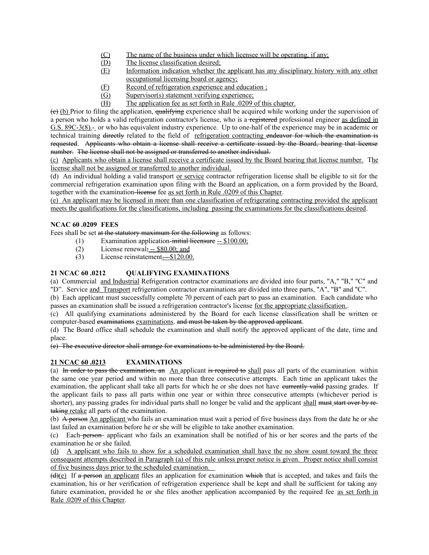- (C) The name of the business under which licensee will be operating, if any;
- (D) The license classification desired;
- (E) Information indication whether the applicant has any disciplinary history with any other occupational licensing board or agency;
- (F) Record of refrigeration experience and education ;
- (G) Supervisor(s) statement verifying experience;
- (H) The application fee as set forth in Rule .0209 of this chapter.

(e) (b) Prior to filing the application, qualifying experience shall be acquired while working under the supervision of a person who holds a valid refrigeration contractor's license, who is a registered professional engineer as defined in G.S. 89C-3(8).- or who has equivalent industry experience. Up to one-half of the experience may be in academic or technical training directly related to the field of refrigeration contracting endeavor for which the examination is requested. Applicants who obtain a license shall receive a certificate issued by the Board, bearing that license number. The license shall not be assigned or transferred to another individual.

(c) Applicants who obtain a license shall receive a certificate issued by the Board bearing that license number. The license shall not be assigned or transferred to another individual.

(d) An individual holding a valid transport or service contractor refrigeration license shall be eligible to sit for the commercial refrigeration examination upon filing with the Board an application, on a form provided by the Board, together with the examination-license fee as set forth in Rule .0209 of this Chapter.

(e) An applicant may be licensed in more than one classification of refrigerating contracting provided the applicant meets the qualifications for the classifications, including passing the examinations for the classifications desired.

### **NCAC 60 .0209 FEES**

Fees shall be set at the statutory maximum for the following as follows:

- (1) Examination application-initial licensure  $-$  \$100.00;
	- (2) License renewal;  $-$  \$80.00; and
	- (3) License reinstatement. \$120.00.

## **21 NCAC 60 .0212 QUALIFYING EXAMINATIONS**

(a) Commercial and Industrial Refrigeration contractor examinations are divided into four parts, "A," "B," "C" and "D". Service and Transport refrigeration contractor examinations are divided into three parts, "A", "B" and "C".

(b) Each applicant must successfully complete 70 percent of each part to pass an examination. Each candidate who passes an examination shall be issued a refrigeration contractor's license for the appropriate classification..

(c) All qualifying examinations administered by the Board for each license classification shall be written or computer-based examinations examinations. and must be taken by the approved applicant.

(d) The Board office shall schedule the examination and shall notify the approved applicant of the date, time and place.

(e) The executive director shall arrange for examinations to be administered by the Board.

## **21 NCAC 60 .0213 EXAMINATIONS**

(a) In order to pass the examination, an  $\Delta n$  applicant is required to shall pass all parts of the examination within the same one year period and within no more than three consecutive attempts. Each time an applicant takes the examination, the applicant shall take all parts for which he or she does not have eurrently valid passing grades. If the applicant fails to pass all parts within one year or within three consecutive attempts (whichever period is shorter), any passing grades for individual parts shall no longer be valid and the applicant shall must start over by retaking retake all parts of the examination.

(b) A person An applicant who fails an examination must wait a period of five business days from the date he or she last failed an examination before he or she will be eligible to take another examination.

(c) Each person applicant who fails an examination shall be notified of his or her scores and the parts of the examination he or she failed.

(d) A applicant who fails to show for a scheduled examination shall have the no show count toward the three consequent attempts described in Paragraph (a) of this rule unless proper notice is given. Proper notice shall consist of five business days prior to the scheduled examination.

(d)(e) If a person an applicant files an application for examination which that is accepted, and takes and fails the examination, his or her verification of refrigeration experience shall be kept and shall be sufficient for taking any future examination, provided he or she files another application accompanied by the required fee as set forth in Rule .0209 of this Chapter.